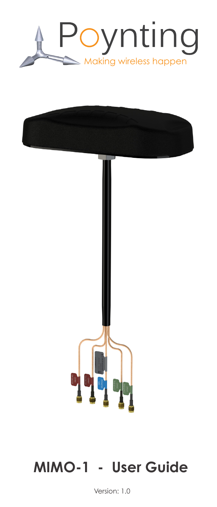



# **MIMO-1 - User Guide**

Version: 1.0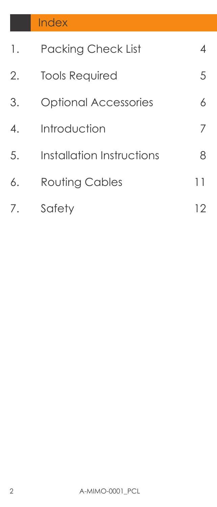| 1.               | <b>Packing Check List</b>   | 4  |
|------------------|-----------------------------|----|
| 2.               | <b>Tools Required</b>       | 5  |
| 3.               | <b>Optional Accessories</b> | 6  |
| $\overline{4}$ . | Introduction                | 7  |
| 5.               | Installation Instructions   | 8  |
| 6.               | <b>Routing Cables</b>       | 11 |
| 7.               | Safety                      | 12 |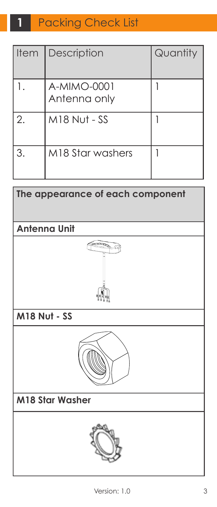#### **Packing Check List 1**

| <b>Item</b> | Description                 | Quantity |
|-------------|-----------------------------|----------|
|             | A-MIMO-0001<br>Antenna only |          |
| 2.          | <b>M18 Nut - SS</b>         |          |
| 3.          | M18 Star washers            |          |

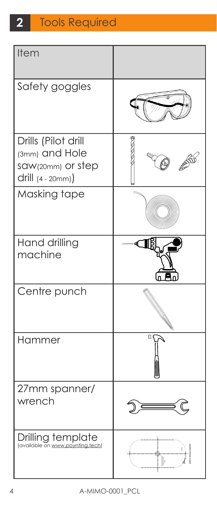#### Tools Required **2**

| Item                                                                            |   |
|---------------------------------------------------------------------------------|---|
| Safety goggles                                                                  |   |
| Drills (Pilot drill<br>(3mm) and Hole<br>saw(20mm) or step<br>drill (4 - 20mm)) |   |
| Masking tape                                                                    |   |
| Hand drilling<br>machine                                                        |   |
| Centre punch                                                                    |   |
| Hammer                                                                          | O |
| 27mm spanner/<br>wrench                                                         |   |
| Drilling template<br>(available on www.poynting.tech)                           |   |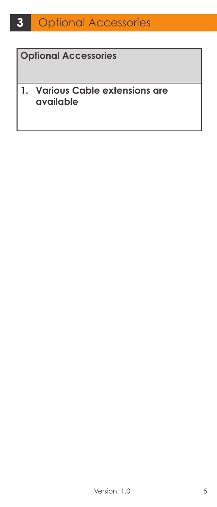#### **Optional Accessories**

#### **1. Various Cable extensions are available**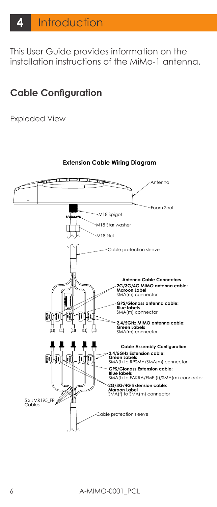This User Guide provides information on the installation instructions of the MiMo-1 antenna.

### **Cable Configuration**

Exploded View



**Extension Cable Wiring Diagram**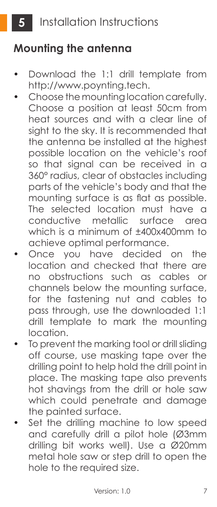## **Mounting the antenna**

- Download the 1:1 drill template from http://www.poynting.tech.
- Choose the mounting location carefully. Choose a position at least 50cm from heat sources and with a clear line of sight to the sky. It is recommended that the antenna be installed at the highest possible location on the vehicle's roof so that signal can be received in a 360° radius, clear of obstacles including parts of the vehicle's body and that the mounting surface is as flat as possible. The selected location must have a conductive metallic surface area which is a minimum of ±400x400mm to achieve optimal performance.
- Once you have decided on the location and checked that there are no obstructions such as cables or channels below the mounting surface, for the fastening nut and cables to pass through, use the downloaded 1:1 drill template to mark the mounting location.
- To prevent the marking tool or drill sliding off course, use masking tape over the drilling point to help hold the drill point in place. The masking tape also prevents hot shavings from the drill or hole saw which could penetrate and damage the painted surface.
- Set the drilling machine to low speed and carefully drill a pilot hole (Ø3mm drilling bit works well). Use a Ø20mm metal hole saw or step drill to open the hole to the required size.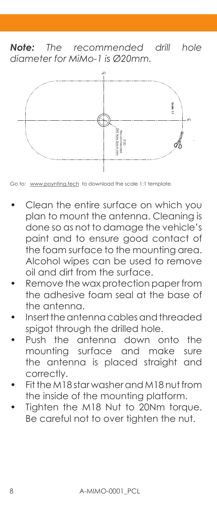*Note: The recommended drill hole diameter for MiMo-1 is Ø20mm.*



Go to: www.poynting.tech to download the scale 1:1 template.

- Clean the entire surface on which you plan to mount the antenna. Cleaning is done so as not to damage the vehicle's paint and to ensure good contact of the foam surface to the mounting area. Alcohol wipes can be used to remove oil and dirt from the surface. Be careful not to common the scale is the molecular to download the scale is it template.<br>
Clean the entire surface on which you<br>
plan to mount the antenna. Cleaning<br>
done so as not to damage the vehicle<br>
paint and to ensu
- Remove the wax protection paper from the adhesive foam seal at the base of the antenna.
- Insert the antenna cables and threaded spigot through the drilled hole.
- Push the antenna down onto the mounting surface and make sure the antenna is placed straight and correctly.
- Fit the M18 star washer and M18 nut from the inside of the mounting platform.
- Tighten the M18 Nut to 20Nm torque.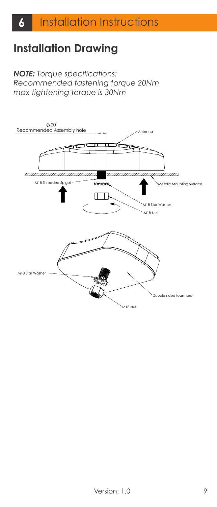# **Installation Drawing**

#### **NOTE:** Torque specifications: *Recommended fastening torque 20Nm* Note:max tightening torque is 30Nm

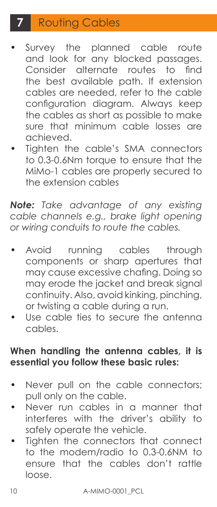# **7** Routing Cables

- Survey the planned cable route and look for any blocked passages. Consider alternate routes to find the best available path. If extension cables are needed, refer to the cable configuration diagram. Always keep the cables as short as possible to make sure that minimum cable losses are achieved.
- Tighten the cable's SMA connectors to 0.3-0.6Nm torque to ensure that the MiMo-1 cables are properly secured to the extension cables

*Note: Take advantage of any existing cable channels e.g., brake light opening or wiring conduits to route the cables.*

- Avoid running cables through components or sharp apertures that may cause excessive chafing. Doing so may erode the jacket and break signal continuity. Also, avoid kinking, pinching, or twisting a cable during a run.
- Use cable ties to secure the antenna cables.

### **When handling the antenna cables, it is essential you follow these basic rules:**

- Never pull on the cable connectors; pull only on the cable.
- Never run cables in a manner that interferes with the driver's ability to safely operate the vehicle.
- Tighten the connectors that connect to the modem/radio to 0.3-0.6NM to ensure that the cables don't rattle loose.